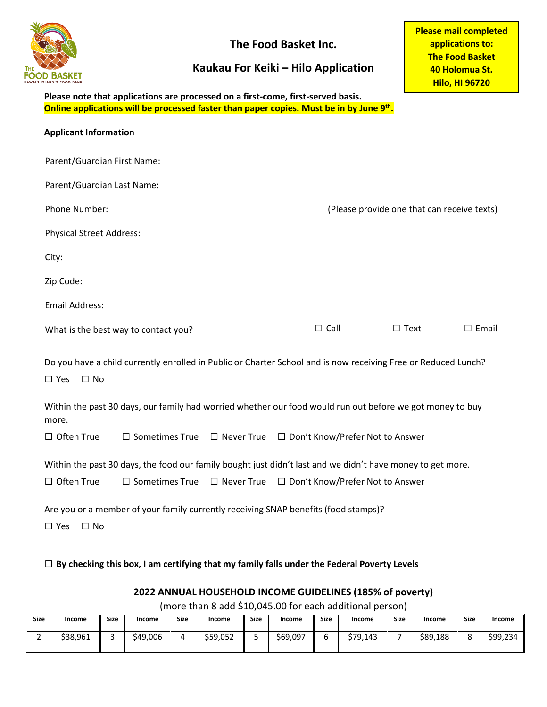

**The Food Basket Inc.**

## **Kaukau For Keiki – Hilo Application**

**Please mail completed applications to: The Food Basket 40 Holomua St. Hilo, HI 96720**

**Please note that applications are processed on a first-come, first-served basis. Online applications will be processed faster than paper copies. Must be in by June 9th.**

| <b>Applicant Information</b>                                                                                                              |                                      |                   |                                                |                                             |              |  |
|-------------------------------------------------------------------------------------------------------------------------------------------|--------------------------------------|-------------------|------------------------------------------------|---------------------------------------------|--------------|--|
| Parent/Guardian First Name:                                                                                                               |                                      |                   |                                                |                                             |              |  |
| Parent/Guardian Last Name:                                                                                                                |                                      |                   |                                                |                                             |              |  |
| Phone Number:                                                                                                                             |                                      |                   |                                                | (Please provide one that can receive texts) |              |  |
| <b>Physical Street Address:</b>                                                                                                           |                                      |                   |                                                |                                             |              |  |
| City:                                                                                                                                     |                                      |                   |                                                |                                             |              |  |
| Zip Code:                                                                                                                                 |                                      |                   |                                                |                                             |              |  |
| Email Address:                                                                                                                            |                                      |                   |                                                |                                             |              |  |
|                                                                                                                                           | What is the best way to contact you? |                   | $\Box$ Call                                    | $\Box$ Text                                 | $\Box$ Email |  |
| Do you have a child currently enrolled in Public or Charter School and is now receiving Free or Reduced Lunch?<br>$\Box$ No<br>$\Box$ Yes |                                      |                   |                                                |                                             |              |  |
| Within the past 30 days, our family had worried whether our food would run out before we got money to buy<br>more.                        |                                      |                   |                                                |                                             |              |  |
| $\Box$ Often True                                                                                                                         | $\Box$ Sometimes True                |                   | □ Never True □ Don't Know/Prefer Not to Answer |                                             |              |  |
| Within the past 30 days, the food our family bought just didn't last and we didn't have money to get more.                                |                                      |                   |                                                |                                             |              |  |
| $\Box$ Often True                                                                                                                         | $\Box$ Sometimes True                | $\Box$ Never True | □ Don't Know/Prefer Not to Answer              |                                             |              |  |
| Are you or a member of your family currently receiving SNAP benefits (food stamps)?<br>$\Box$ No<br>$\Box$ Yes                            |                                      |                   |                                                |                                             |              |  |

□ **By checking this box, I am certifying that my family falls under the Federal Poverty Levels**

#### **2022 ANNUAL HOUSEHOLD INCOME GUIDELINES (185% of poverty)**

(more than 8 add \$10,045.00 for each additional person)

| <b>Size</b> | Income   | <b>Size</b> | Income   | <b>Size</b> | Income   | <b>Size</b> | Income   | <b>Size</b> | Income   | <b>Size</b> | Income   | <b>Size</b> | Income   |
|-------------|----------|-------------|----------|-------------|----------|-------------|----------|-------------|----------|-------------|----------|-------------|----------|
| -           | \$38,961 |             | \$49,006 | Д           | \$59,052 | سد          | \$69,097 |             | \$79.143 |             | \$89,188 | с           | \$99,234 |